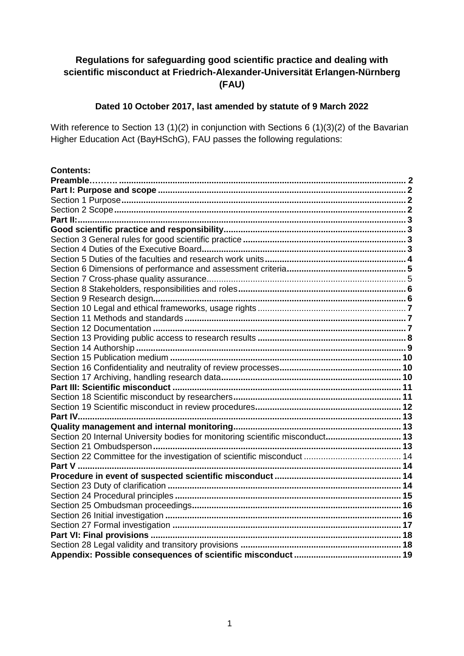# **Regulations for safeguarding good scientific practice and dealing with scientific misconduct at Friedrich-Alexander-Universität Erlangen-Nürnberg (FAU)**

### **Dated 10 October 2017, last amended by statute of 9 March 2022**

With reference to Section 13 (1)(2) in conjunction with Sections 6 (1)(3)(2) of the Bavarian Higher Education Act (BayHSchG), FAU passes the following regulations:

| <b>Contents:</b>                                                              |  |
|-------------------------------------------------------------------------------|--|
|                                                                               |  |
|                                                                               |  |
|                                                                               |  |
|                                                                               |  |
|                                                                               |  |
|                                                                               |  |
|                                                                               |  |
|                                                                               |  |
|                                                                               |  |
|                                                                               |  |
|                                                                               |  |
|                                                                               |  |
|                                                                               |  |
|                                                                               |  |
|                                                                               |  |
|                                                                               |  |
|                                                                               |  |
|                                                                               |  |
|                                                                               |  |
|                                                                               |  |
|                                                                               |  |
|                                                                               |  |
|                                                                               |  |
|                                                                               |  |
|                                                                               |  |
|                                                                               |  |
| Section 20 Internal University bodies for monitoring scientific misconduct 13 |  |
|                                                                               |  |
|                                                                               |  |
|                                                                               |  |
|                                                                               |  |
|                                                                               |  |
|                                                                               |  |
|                                                                               |  |
|                                                                               |  |
|                                                                               |  |
|                                                                               |  |
|                                                                               |  |
|                                                                               |  |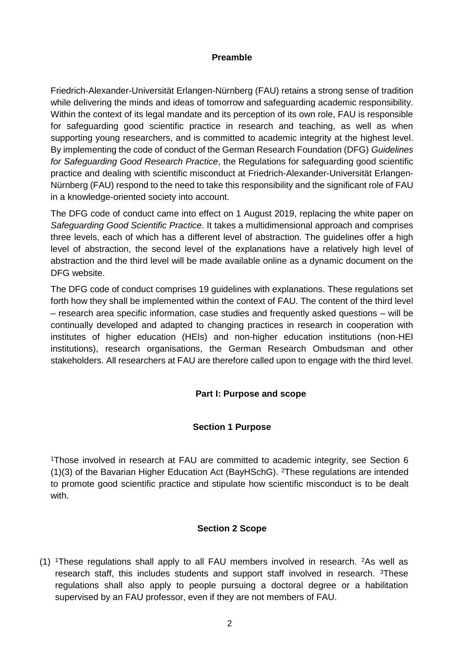### **Preamble**

Friedrich-Alexander-Universität Erlangen-Nürnberg (FAU) retains a strong sense of tradition while delivering the minds and ideas of tomorrow and safeguarding academic responsibility. Within the context of its legal mandate and its perception of its own role, FAU is responsible for safeguarding good scientific practice in research and teaching, as well as when supporting young researchers, and is committed to academic integrity at the highest level. By implementing the code of conduct of the German Research Foundation (DFG) *Guidelines for Safeguarding Good Research Practice*, the Regulations for safeguarding good scientific practice and dealing with scientific misconduct at Friedrich-Alexander-Universität Erlangen-Nürnberg (FAU) respond to the need to take this responsibility and the significant role of FAU in a knowledge-oriented society into account.

The DFG code of conduct came into effect on 1 August 2019, replacing the white paper on *Safeguarding Good Scientific Practice*. It takes a multidimensional approach and comprises three levels, each of which has a different level of abstraction. The guidelines offer a high level of abstraction, the second level of the explanations have a relatively high level of abstraction and the third level will be made available online as a dynamic document on the DFG website.

The DFG code of conduct comprises 19 guidelines with explanations. These regulations set forth how they shall be implemented within the context of FAU. The content of the third level – research area specific information, case studies and frequently asked questions – will be continually developed and adapted to changing practices in research in cooperation with institutes of higher education (HEIs) and non-higher education institutions (non-HEI institutions), research organisations, the German Research Ombudsman and other stakeholders. All researchers at FAU are therefore called upon to engage with the third level.

### **Part I: Purpose and scope**

#### **Section 1 Purpose**

<span id="page-1-1"></span><span id="page-1-0"></span><sup>1</sup>Those involved in research at FAU are committed to academic integrity, see Section 6 (1)(3) of the Bavarian Higher Education Act (BayHSchG). <sup>2</sup>These regulations are intended to promote good scientific practice and stipulate how scientific misconduct is to be dealt with.

### **Section 2 Scope**

<span id="page-1-2"></span>(1) <sup>1</sup>These regulations shall apply to all FAU members involved in research.  $2As$  well as research staff, this includes students and support staff involved in research. <sup>3</sup>These regulations shall also apply to people pursuing a doctoral degree or a habilitation supervised by an FAU professor, even if they are not members of FAU.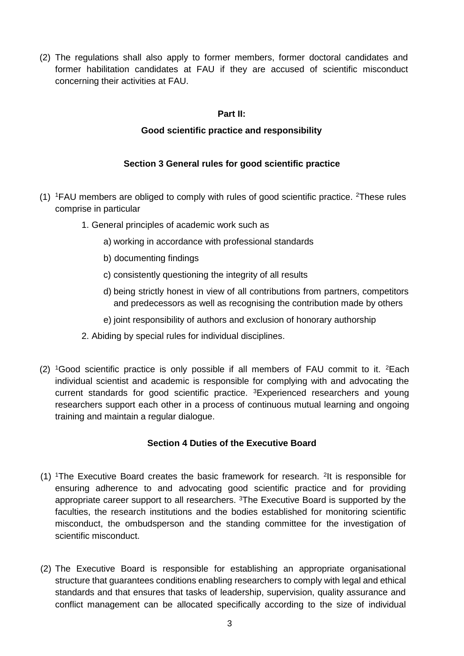<span id="page-2-0"></span>(2) The regulations shall also apply to former members, former doctoral candidates and former habilitation candidates at FAU if they are accused of scientific misconduct concerning their activities at FAU.

### **Part II:**

### **Good scientific practice and responsibility**

## **Section 3 General rules for good scientific practice**

- <span id="page-2-2"></span><span id="page-2-1"></span> $(1)$  1FAU members are obliged to comply with rules of good scientific practice. <sup>2</sup>These rules comprise in particular
	- 1. General principles of academic work such as
		- a) working in accordance with professional standards
		- b) documenting findings
		- c) consistently questioning the integrity of all results
		- d) being strictly honest in view of all contributions from partners, competitors and predecessors as well as recognising the contribution made by others
		- e) joint responsibility of authors and exclusion of honorary authorship
	- 2. Abiding by special rules for individual disciplines.
- (2) <sup>1</sup>Good scientific practice is only possible if all members of FAU commit to it.  ${}^{2}$ Each individual scientist and academic is responsible for complying with and advocating the current standards for good scientific practice. <sup>3</sup>Experienced researchers and young researchers support each other in a process of continuous mutual learning and ongoing training and maintain a regular dialogue.

### **Section 4 Duties of the Executive Board**

- <span id="page-2-3"></span>(1) <sup>1</sup>The Executive Board creates the basic framework for research. <sup>2</sup> It is responsible for ensuring adherence to and advocating good scientific practice and for providing appropriate career support to all researchers. <sup>3</sup>The Executive Board is supported by the faculties, the research institutions and the bodies established for monitoring scientific misconduct, the ombudsperson and the standing committee for the investigation of scientific misconduct.
- (2) The Executive Board is responsible for establishing an appropriate organisational structure that guarantees conditions enabling researchers to comply with legal and ethical standards and that ensures that tasks of leadership, supervision, quality assurance and conflict management can be allocated specifically according to the size of individual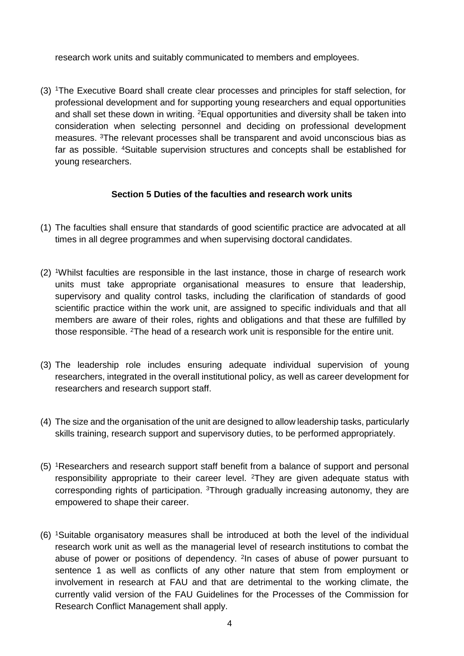research work units and suitably communicated to members and employees.

(3) <sup>1</sup>The Executive Board shall create clear processes and principles for staff selection, for professional development and for supporting young researchers and equal opportunities and shall set these down in writing. <sup>2</sup>Equal opportunities and diversity shall be taken into consideration when selecting personnel and deciding on professional development measures. <sup>3</sup>The relevant processes shall be transparent and avoid unconscious bias as far as possible. <sup>4</sup>Suitable supervision structures and concepts shall be established for young researchers.

#### **Section 5 Duties of the faculties and research work units**

- <span id="page-3-0"></span>(1) The faculties shall ensure that standards of good scientific practice are advocated at all times in all degree programmes and when supervising doctoral candidates.
- (2) <sup>1</sup>Whilst faculties are responsible in the last instance, those in charge of research work units must take appropriate organisational measures to ensure that leadership, supervisory and quality control tasks, including the clarification of standards of good scientific practice within the work unit, are assigned to specific individuals and that all members are aware of their roles, rights and obligations and that these are fulfilled by those responsible. <sup>2</sup>The head of a research work unit is responsible for the entire unit.
- (3) The leadership role includes ensuring adequate individual supervision of young researchers, integrated in the overall institutional policy, as well as career development for researchers and research support staff.
- (4) The size and the organisation of the unit are designed to allow leadership tasks, particularly skills training, research support and supervisory duties, to be performed appropriately.
- (5) <sup>1</sup>Researchers and research support staff benefit from a balance of support and personal responsibility appropriate to their career level.  $2$ They are given adequate status with corresponding rights of participation. <sup>3</sup>Through gradually increasing autonomy, they are empowered to shape their career.
- (6) <sup>1</sup>Suitable organisatory measures shall be introduced at both the level of the individual research work unit as well as the managerial level of research institutions to combat the abuse of power or positions of dependency. <sup>2</sup>In cases of abuse of power pursuant to sentence 1 as well as conflicts of any other nature that stem from employment or involvement in research at FAU and that are detrimental to the working climate, the currently valid version of the FAU Guidelines for the Processes of the Commission for Research Conflict Management shall apply.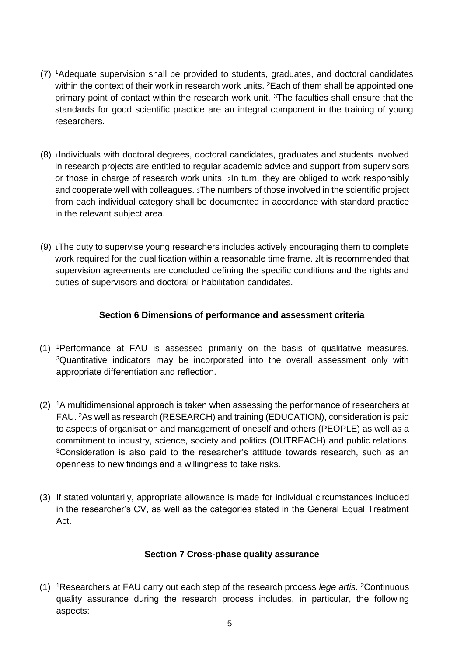- (7) <sup>1</sup>Adequate supervision shall be provided to students, graduates, and doctoral candidates within the context of their work in research work units. <sup>2</sup> Each of them shall be appointed one primary point of contact within the research work unit. <sup>3</sup>The faculties shall ensure that the standards for good scientific practice are an integral component in the training of young researchers.
- (8) <sup>1</sup>Individuals with doctoral degrees, doctoral candidates, graduates and students involved in research projects are entitled to regular academic advice and support from supervisors or those in charge of research work units. 2In turn, they are obliged to work responsibly and cooperate well with colleagues. 3The numbers of those involved in the scientific project from each individual category shall be documented in accordance with standard practice in the relevant subject area.
- $(9)$  1The duty to supervise young researchers includes actively encouraging them to complete work required for the qualification within a reasonable time frame. 2It is recommended that supervision agreements are concluded defining the specific conditions and the rights and duties of supervisors and doctoral or habilitation candidates.

## **Section 6 Dimensions of performance and assessment criteria**

- <span id="page-4-0"></span>(1) <sup>1</sup>Performance at FAU is assessed primarily on the basis of qualitative measures. <sup>2</sup>Quantitative indicators may be incorporated into the overall assessment only with appropriate differentiation and reflection.
- (2) <sup>1</sup>A multidimensional approach is taken when assessing the performance of researchers at FAU. <sup>2</sup>As well as research (RESEARCH) and training (EDUCATION), consideration is paid to aspects of organisation and management of oneself and others (PEOPLE) as well as a commitment to industry, science, society and politics (OUTREACH) and public relations. <sup>3</sup>Consideration is also paid to the researcher's attitude towards research, such as an openness to new findings and a willingness to take risks.
- (3) If stated voluntarily, appropriate allowance is made for individual circumstances included in the researcher's CV, as well as the categories stated in the General Equal Treatment Act.

### **Section 7 Cross-phase quality assurance**

<span id="page-4-1"></span>(1) <sup>1</sup>Researchers at FAU carry out each step of the research process *lege artis*. <sup>2</sup>Continuous quality assurance during the research process includes, in particular, the following aspects: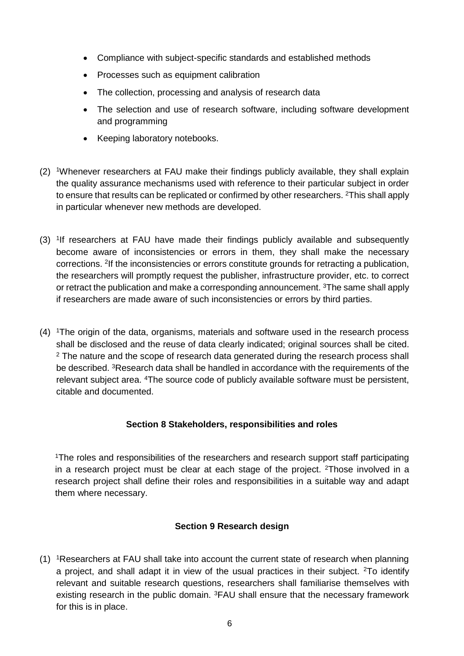- Compliance with subject-specific standards and established methods
- Processes such as equipment calibration
- The collection, processing and analysis of research data
- The selection and use of research software, including software development and programming
- Keeping laboratory notebooks.
- (2) <sup>1</sup>Whenever researchers at FAU make their findings publicly available, they shall explain the quality assurance mechanisms used with reference to their particular subject in order to ensure that results can be replicated or confirmed by other researchers. <sup>2</sup>This shall apply in particular whenever new methods are developed.
- (3) <sup>1</sup> If researchers at FAU have made their findings publicly available and subsequently become aware of inconsistencies or errors in them, they shall make the necessary corrections. <sup>2</sup> If the inconsistencies or errors constitute grounds for retracting a publication, the researchers will promptly request the publisher, infrastructure provider, etc. to correct or retract the publication and make a corresponding announcement. <sup>3</sup>The same shall apply if researchers are made aware of such inconsistencies or errors by third parties.
- (4) <sup>1</sup>The origin of the data, organisms, materials and software used in the research process shall be disclosed and the reuse of data clearly indicated; original sources shall be cited.  $2$  The nature and the scope of research data generated during the research process shall be described. <sup>3</sup>Research data shall be handled in accordance with the requirements of the relevant subject area. <sup>4</sup>The source code of publicly available software must be persistent, citable and documented.

### **Section 8 Stakeholders, responsibilities and roles**

<span id="page-5-0"></span><sup>1</sup>The roles and responsibilities of the researchers and research support staff participating in a research project must be clear at each stage of the project. <sup>2</sup>Those involved in a research project shall define their roles and responsibilities in a suitable way and adapt them where necessary.

## **Section 9 Research design**

<span id="page-5-1"></span>(1) <sup>1</sup>Researchers at FAU shall take into account the current state of research when planning a project, and shall adapt it in view of the usual practices in their subject. <sup>2</sup>To identify relevant and suitable research questions, researchers shall familiarise themselves with existing research in the public domain. <sup>3</sup>FAU shall ensure that the necessary framework for this is in place.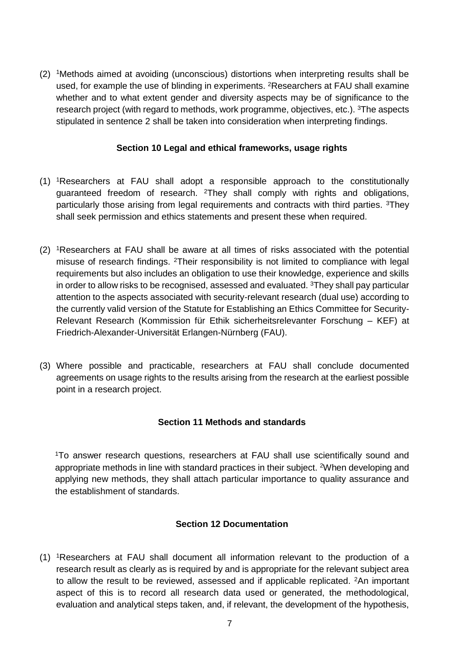(2) <sup>1</sup>Methods aimed at avoiding (unconscious) distortions when interpreting results shall be used, for example the use of blinding in experiments. <sup>2</sup>Researchers at FAU shall examine whether and to what extent gender and diversity aspects may be of significance to the research project (with regard to methods, work programme, objectives, etc.). <sup>3</sup>The aspects stipulated in sentence 2 shall be taken into consideration when interpreting findings.

#### **Section 10 Legal and ethical frameworks, usage rights**

- <span id="page-6-0"></span>(1) <sup>1</sup>Researchers at FAU shall adopt a responsible approach to the constitutionally guaranteed freedom of research. <sup>2</sup>They shall comply with rights and obligations, particularly those arising from legal requirements and contracts with third parties. <sup>3</sup>They shall seek permission and ethics statements and present these when required.
- (2) <sup>1</sup>Researchers at FAU shall be aware at all times of risks associated with the potential misuse of research findings. <sup>2</sup>Their responsibility is not limited to compliance with legal requirements but also includes an obligation to use their knowledge, experience and skills in order to allow risks to be recognised, assessed and evaluated. <sup>3</sup>They shall pay particular attention to the aspects associated with security-relevant research (dual use) according to the currently valid version of the Statute for Establishing an Ethics Committee for Security-Relevant Research (Kommission für Ethik sicherheitsrelevanter Forschung – KEF) at Friedrich-Alexander-Universität Erlangen-Nürnberg (FAU).
- (3) Where possible and practicable, researchers at FAU shall conclude documented agreements on usage rights to the results arising from the research at the earliest possible point in a research project.

### **Section 11 Methods and standards**

<span id="page-6-1"></span><sup>1</sup>To answer research questions, researchers at FAU shall use scientifically sound and appropriate methods in line with standard practices in their subject. <sup>2</sup>When developing and applying new methods, they shall attach particular importance to quality assurance and the establishment of standards.

### **Section 12 Documentation**

<span id="page-6-2"></span>(1) <sup>1</sup>Researchers at FAU shall document all information relevant to the production of a research result as clearly as is required by and is appropriate for the relevant subject area to allow the result to be reviewed, assessed and if applicable replicated. <sup>2</sup>An important aspect of this is to record all research data used or generated, the methodological, evaluation and analytical steps taken, and, if relevant, the development of the hypothesis,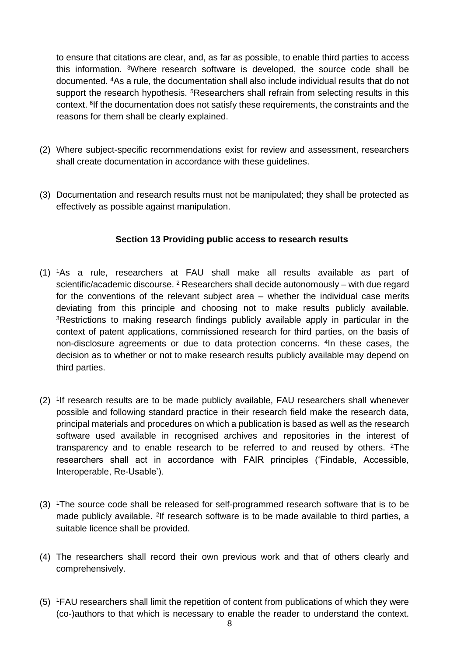to ensure that citations are clear, and, as far as possible, to enable third parties to access this information. <sup>3</sup>Where research software is developed, the source code shall be documented. <sup>4</sup>As a rule, the documentation shall also include individual results that do not support the research hypothesis. <sup>5</sup>Researchers shall refrain from selecting results in this context. <sup>6</sup> If the documentation does not satisfy these requirements, the constraints and the reasons for them shall be clearly explained.

- (2) Where subject-specific recommendations exist for review and assessment, researchers shall create documentation in accordance with these guidelines.
- (3) Documentation and research results must not be manipulated; they shall be protected as effectively as possible against manipulation.

## **Section 13 Providing public access to research results**

- <span id="page-7-0"></span>(1) <sup>1</sup>As a rule, researchers at FAU shall make all results available as part of scientific/academic discourse.  $2$  Researchers shall decide autonomously – with due regard for the conventions of the relevant subject area – whether the individual case merits deviating from this principle and choosing not to make results publicly available. <sup>3</sup>Restrictions to making research findings publicly available apply in particular in the context of patent applications, commissioned research for third parties, on the basis of non-disclosure agreements or due to data protection concerns. <sup>4</sup> In these cases, the decision as to whether or not to make research results publicly available may depend on third parties.
- (2) <sup>1</sup>If research results are to be made publicly available, FAU researchers shall whenever possible and following standard practice in their research field make the research data, principal materials and procedures on which a publication is based as well as the research software used available in recognised archives and repositories in the interest of transparency and to enable research to be referred to and reused by others. <sup>2</sup>The researchers shall act in accordance with FAIR principles ('Findable, Accessible, Interoperable, Re-Usable').
- (3) <sup>1</sup>The source code shall be released for self-programmed research software that is to be made publicly available. <sup>2</sup>If research software is to be made available to third parties, a suitable licence shall be provided.
- (4) The researchers shall record their own previous work and that of others clearly and comprehensively.
- (5) <sup>1</sup>FAU researchers shall limit the repetition of content from publications of which they were (co-)authors to that which is necessary to enable the reader to understand the context.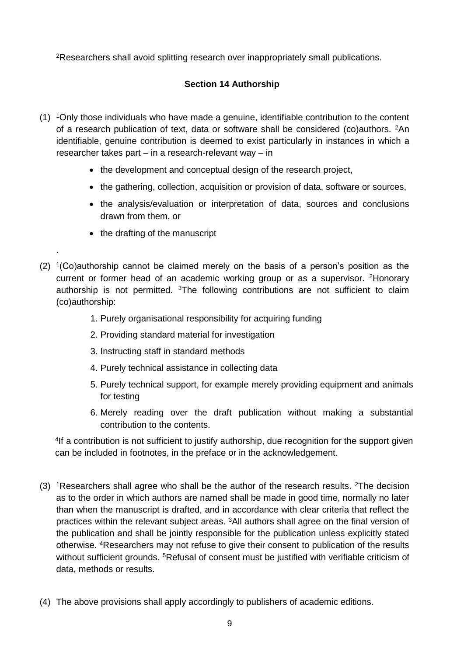<span id="page-8-0"></span><sup>2</sup>Researchers shall avoid splitting research over inappropriately small publications.

## **Section 14 Authorship**

- (1) <sup>1</sup>Only those individuals who have made a genuine, identifiable contribution to the content of a research publication of text, data or software shall be considered (co)authors. <sup>2</sup>An identifiable, genuine contribution is deemed to exist particularly in instances in which a researcher takes part – in a research-relevant way – in
	- the development and conceptual design of the research project,
	- the gathering, collection, acquisition or provision of data, software or sources,
	- the analysis/evaluation or interpretation of data, sources and conclusions drawn from them, or
	- the drafting of the manuscript

.

- $(2)$  <sup>1</sup>(Co)authorship cannot be claimed merely on the basis of a person's position as the current or former head of an academic working group or as a supervisor. <sup>2</sup>Honorary authorship is not permitted. <sup>3</sup>The following contributions are not sufficient to claim (co)authorship:
	- 1. Purely organisational responsibility for acquiring funding
	- 2. Providing standard material for investigation
	- 3. Instructing staff in standard methods
	- 4. Purely technical assistance in collecting data
	- 5. Purely technical support, for example merely providing equipment and animals for testing
	- 6. Merely reading over the draft publication without making a substantial contribution to the contents.

4 If a contribution is not sufficient to justify authorship, due recognition for the support given can be included in footnotes, in the preface or in the acknowledgement.

- (3) <sup>1</sup>Researchers shall agree who shall be the author of the research results. <sup>2</sup>The decision as to the order in which authors are named shall be made in good time, normally no later than when the manuscript is drafted, and in accordance with clear criteria that reflect the practices within the relevant subject areas. <sup>3</sup>All authors shall agree on the final version of the publication and shall be jointly responsible for the publication unless explicitly stated otherwise. <sup>4</sup>Researchers may not refuse to give their consent to publication of the results without sufficient grounds. <sup>5</sup>Refusal of consent must be justified with verifiable criticism of data, methods or results.
- (4) The above provisions shall apply accordingly to publishers of academic editions.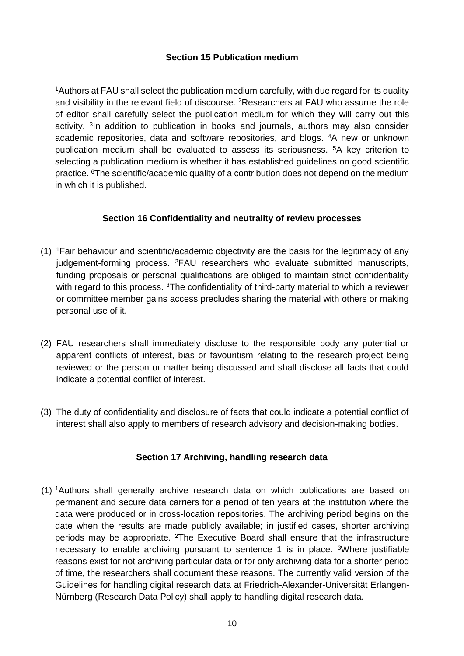### **Section 15 Publication medium**

<span id="page-9-0"></span><sup>1</sup>Authors at FAU shall select the publication medium carefully, with due regard for its quality and visibility in the relevant field of discourse. <sup>2</sup>Researchers at FAU who assume the role of editor shall carefully select the publication medium for which they will carry out this activity. <sup>3</sup>In addition to publication in books and journals, authors may also consider academic repositories, data and software repositories, and blogs. <sup>4</sup>A new or unknown publication medium shall be evaluated to assess its seriousness. <sup>5</sup>A key criterion to selecting a publication medium is whether it has established guidelines on good scientific practice. <sup>6</sup>The scientific/academic quality of a contribution does not depend on the medium in which it is published.

## **Section 16 Confidentiality and neutrality of review processes**

- <span id="page-9-1"></span>(1) <sup>1</sup>Fair behaviour and scientific/academic objectivity are the basis for the legitimacy of any judgement-forming process. <sup>2</sup>FAU researchers who evaluate submitted manuscripts, funding proposals or personal qualifications are obliged to maintain strict confidentiality with regard to this process. <sup>3</sup>The confidentiality of third-party material to which a reviewer or committee member gains access precludes sharing the material with others or making personal use of it.
- (2) FAU researchers shall immediately disclose to the responsible body any potential or apparent conflicts of interest, bias or favouritism relating to the research project being reviewed or the person or matter being discussed and shall disclose all facts that could indicate a potential conflict of interest.
- (3) The duty of confidentiality and disclosure of facts that could indicate a potential conflict of interest shall also apply to members of research advisory and decision-making bodies.

## **Section 17 Archiving, handling research data**

<span id="page-9-2"></span>(1) <sup>1</sup>Authors shall generally archive research data on which publications are based on permanent and secure data carriers for a period of ten years at the institution where the data were produced or in cross-location repositories. The archiving period begins on the date when the results are made publicly available; in justified cases, shorter archiving periods may be appropriate. <sup>2</sup>The Executive Board shall ensure that the infrastructure necessary to enable archiving pursuant to sentence 1 is in place. <sup>3</sup>Where justifiable reasons exist for not archiving particular data or for only archiving data for a shorter period of time, the researchers shall document these reasons. The currently valid version of the Guidelines for handling digital research data at Friedrich-Alexander-Universität Erlangen-Nürnberg (Research Data Policy) shall apply to handling digital research data.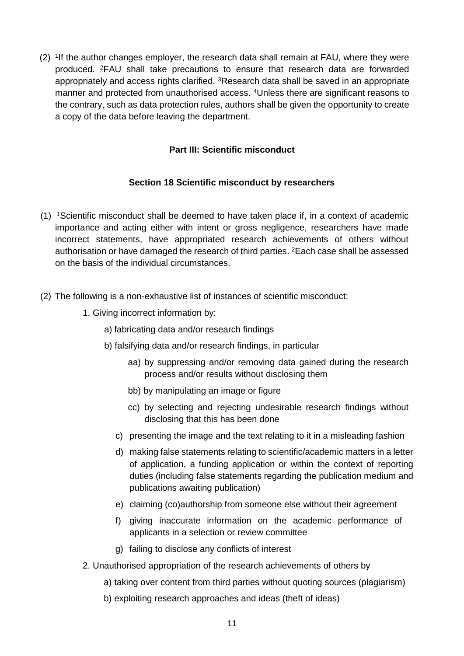(2) <sup>1</sup>If the author changes employer, the research data shall remain at FAU, where they were produced. <sup>2</sup>FAU shall take precautions to ensure that research data are forwarded appropriately and access rights clarified. <sup>3</sup>Research data shall be saved in an appropriate manner and protected from unauthorised access. <sup>4</sup>Unless there are significant reasons to the contrary, such as data protection rules, authors shall be given the opportunity to create a copy of the data before leaving the department.

## **Part III: Scientific misconduct**

### **Section 18 Scientific misconduct by researchers**

- <span id="page-10-1"></span><span id="page-10-0"></span>(1) <sup>1</sup>Scientific misconduct shall be deemed to have taken place if, in a context of academic importance and acting either with intent or gross negligence, researchers have made incorrect statements, have appropriated research achievements of others without authorisation or have damaged the research of third parties. <sup>2</sup>Each case shall be assessed on the basis of the individual circumstances.
- (2) The following is a non-exhaustive list of instances of scientific misconduct:
	- 1. Giving incorrect information by:
		- a) fabricating data and/or research findings
		- b) falsifying data and/or research findings, in particular
			- aa) by suppressing and/or removing data gained during the research process and/or results without disclosing them
			- bb) by manipulating an image or figure
			- cc) by selecting and rejecting undesirable research findings without disclosing that this has been done
			- c) presenting the image and the text relating to it in a misleading fashion
			- d) making false statements relating to scientific/academic matters in a letter of application, a funding application or within the context of reporting duties (including false statements regarding the publication medium and publications awaiting publication)
			- e) claiming (co)authorship from someone else without their agreement
			- f) giving inaccurate information on the academic performance of applicants in a selection or review committee
			- g) failing to disclose any conflicts of interest
	- 2. Unauthorised appropriation of the research achievements of others by
		- a) taking over content from third parties without quoting sources (plagiarism)
		- b) exploiting research approaches and ideas (theft of ideas)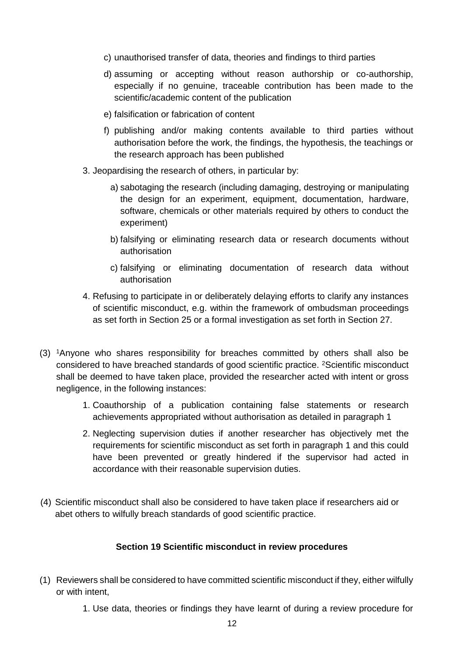- c) unauthorised transfer of data, theories and findings to third parties
- d) assuming or accepting without reason authorship or co-authorship, especially if no genuine, traceable contribution has been made to the scientific/academic content of the publication
- e) falsification or fabrication of content
- f) publishing and/or making contents available to third parties without authorisation before the work, the findings, the hypothesis, the teachings or the research approach has been published
- 3. Jeopardising the research of others, in particular by:
	- a) sabotaging the research (including damaging, destroying or manipulating the design for an experiment, equipment, documentation, hardware, software, chemicals or other materials required by others to conduct the experiment)
	- b) falsifying or eliminating research data or research documents without authorisation
	- c) falsifying or eliminating documentation of research data without authorisation
- 4. Refusing to participate in or deliberately delaying efforts to clarify any instances of scientific misconduct, e.g. within the framework of ombudsman proceedings as set forth in Section 25 or a formal investigation as set forth in Section 27.
- (3) <sup>1</sup>Anyone who shares responsibility for breaches committed by others shall also be considered to have breached standards of good scientific practice. <sup>2</sup>Scientific misconduct shall be deemed to have taken place, provided the researcher acted with intent or gross negligence, in the following instances:
	- 1. Coauthorship of a publication containing false statements or research achievements appropriated without authorisation as detailed in paragraph 1
	- 2. Neglecting supervision duties if another researcher has objectively met the requirements for scientific misconduct as set forth in paragraph 1 and this could have been prevented or greatly hindered if the supervisor had acted in accordance with their reasonable supervision duties.
- (4) Scientific misconduct shall also be considered to have taken place if researchers aid or abet others to wilfully breach standards of good scientific practice.

### **Section 19 Scientific misconduct in review procedures**

- <span id="page-11-0"></span>(1) Reviewers shall be considered to have committed scientific misconduct if they, either wilfully or with intent,
	- 1. Use data, theories or findings they have learnt of during a review procedure for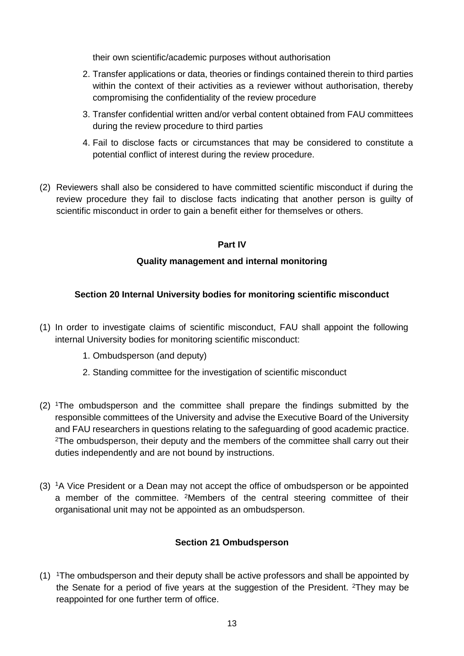their own scientific/academic purposes without authorisation

- 2. Transfer applications or data, theories or findings contained therein to third parties within the context of their activities as a reviewer without authorisation, thereby compromising the confidentiality of the review procedure
- 3. Transfer confidential written and/or verbal content obtained from FAU committees during the review procedure to third parties
- 4. Fail to disclose facts or circumstances that may be considered to constitute a potential conflict of interest during the review procedure.
- (2) Reviewers shall also be considered to have committed scientific misconduct if during the review procedure they fail to disclose facts indicating that another person is guilty of scientific misconduct in order to gain a benefit either for themselves or others.

### **Part IV**

## **Quality management and internal monitoring**

## <span id="page-12-2"></span><span id="page-12-1"></span><span id="page-12-0"></span>**Section 20 Internal University bodies for monitoring scientific misconduct**

- (1) In order to investigate claims of scientific misconduct, FAU shall appoint the following internal University bodies for monitoring scientific misconduct:
	- 1. Ombudsperson (and deputy)
	- 2. Standing committee for the investigation of scientific misconduct
- (2) <sup>1</sup>The ombudsperson and the committee shall prepare the findings submitted by the responsible committees of the University and advise the Executive Board of the University and FAU researchers in questions relating to the safeguarding of good academic practice. <sup>2</sup>The ombudsperson, their deputy and the members of the committee shall carry out their duties independently and are not bound by instructions.
- (3) <sup>1</sup>A Vice President or a Dean may not accept the office of ombudsperson or be appointed a member of the committee. <sup>2</sup>Members of the central steering committee of their organisational unit may not be appointed as an ombudsperson.

### **Section 21 Ombudsperson**

<span id="page-12-3"></span>(1) <sup>1</sup>The ombudsperson and their deputy shall be active professors and shall be appointed by the Senate for a period of five years at the suggestion of the President. <sup>2</sup>They may be reappointed for one further term of office.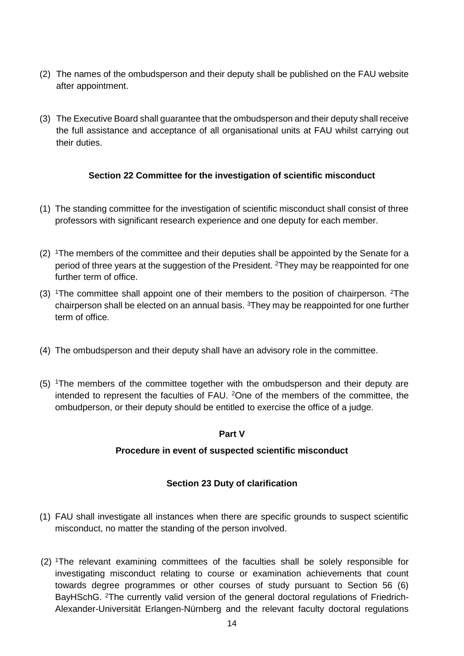- (2) The names of the ombudsperson and their deputy shall be published on the FAU website after appointment.
- (3) The Executive Board shall guarantee that the ombudsperson and their deputy shall receive the full assistance and acceptance of all organisational units at FAU whilst carrying out their duties.

## **Section 22 Committee for the investigation of scientific misconduct**

- <span id="page-13-0"></span>(1) The standing committee for the investigation of scientific misconduct shall consist of three professors with significant research experience and one deputy for each member.
- (2) <sup>1</sup>The members of the committee and their deputies shall be appointed by the Senate for a period of three years at the suggestion of the President. <sup>2</sup>They may be reappointed for one further term of office.
- (3) <sup>1</sup>The committee shall appoint one of their members to the position of chairperson. <sup>2</sup>The chairperson shall be elected on an annual basis. <sup>3</sup>They may be reappointed for one further term of office.
- (4) The ombudsperson and their deputy shall have an advisory role in the committee.
- <span id="page-13-1"></span>(5) <sup>1</sup>The members of the committee together with the ombudsperson and their deputy are intended to represent the faculties of FAU. <sup>2</sup>One of the members of the committee, the ombudperson, or their deputy should be entitled to exercise the office of a judge.

### **Part V**

## <span id="page-13-2"></span>**Procedure in event of suspected scientific misconduct**

## **Section 23 Duty of clarification**

- <span id="page-13-3"></span>(1) FAU shall investigate all instances when there are specific grounds to suspect scientific misconduct, no matter the standing of the person involved.
- (2) <sup>1</sup>The relevant examining committees of the faculties shall be solely responsible for investigating misconduct relating to course or examination achievements that count towards degree programmes or other courses of study pursuant to Section 56 (6) BayHSchG. 2The currently valid version of the general doctoral regulations of Friedrich-Alexander-Universität Erlangen-Nürnberg and the relevant faculty doctoral regulations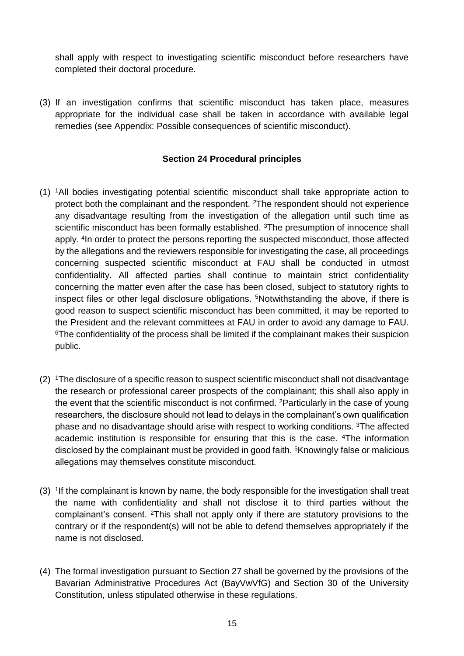shall apply with respect to investigating scientific misconduct before researchers have completed their doctoral procedure.

(3) If an investigation confirms that scientific misconduct has taken place, measures appropriate for the individual case shall be taken in accordance with available legal remedies (see Appendix: Possible consequences of scientific misconduct).

### **Section 24 Procedural principles**

- <span id="page-14-0"></span>(1) <sup>1</sup>All bodies investigating potential scientific misconduct shall take appropriate action to protect both the complainant and the respondent. <sup>2</sup>The respondent should not experience any disadvantage resulting from the investigation of the allegation until such time as scientific misconduct has been formally established. <sup>3</sup>The presumption of innocence shall apply. <sup>4</sup>In order to protect the persons reporting the suspected misconduct, those affected by the allegations and the reviewers responsible for investigating the case, all proceedings concerning suspected scientific misconduct at FAU shall be conducted in utmost confidentiality. All affected parties shall continue to maintain strict confidentiality concerning the matter even after the case has been closed, subject to statutory rights to inspect files or other legal disclosure obligations. <sup>5</sup>Notwithstanding the above, if there is good reason to suspect scientific misconduct has been committed, it may be reported to the President and the relevant committees at FAU in order to avoid any damage to FAU. <sup>6</sup>The confidentiality of the process shall be limited if the complainant makes their suspicion public.
- (2) <sup>1</sup>The disclosure of a specific reason to suspect scientific misconduct shall not disadvantage the research or professional career prospects of the complainant; this shall also apply in the event that the scientific misconduct is not confirmed. <sup>2</sup>Particularly in the case of young researchers, the disclosure should not lead to delays in the complainant's own qualification phase and no disadvantage should arise with respect to working conditions. <sup>3</sup>The affected academic institution is responsible for ensuring that this is the case. <sup>4</sup>The information disclosed by the complainant must be provided in good faith. <sup>5</sup>Knowingly false or malicious allegations may themselves constitute misconduct.
- (3) <sup>1</sup>If the complainant is known by name, the body responsible for the investigation shall treat the name with confidentiality and shall not disclose it to third parties without the complainant's consent. <sup>2</sup>This shall not apply only if there are statutory provisions to the contrary or if the respondent(s) will not be able to defend themselves appropriately if the name is not disclosed.
- (4) The formal investigation pursuant to Section 27 shall be governed by the provisions of the Bavarian Administrative Procedures Act (BayVwVfG) and Section 30 of the University Constitution, unless stipulated otherwise in these regulations.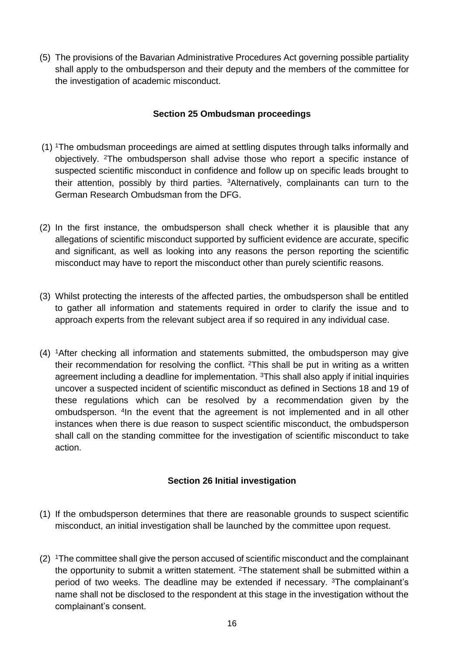(5) The provisions of the Bavarian Administrative Procedures Act governing possible partiality shall apply to the ombudsperson and their deputy and the members of the committee for the investigation of academic misconduct.

### **Section 25 Ombudsman proceedings**

- <span id="page-15-0"></span>(1) <sup>1</sup>The ombudsman proceedings are aimed at settling disputes through talks informally and objectively. <sup>2</sup>The ombudsperson shall advise those who report a specific instance of suspected scientific misconduct in confidence and follow up on specific leads brought to their attention, possibly by third parties. <sup>3</sup>Alternatively, complainants can turn to the German Research Ombudsman from the DFG.
- (2) In the first instance, the ombudsperson shall check whether it is plausible that any allegations of scientific misconduct supported by sufficient evidence are accurate, specific and significant, as well as looking into any reasons the person reporting the scientific misconduct may have to report the misconduct other than purely scientific reasons.
- (3) Whilst protecting the interests of the affected parties, the ombudsperson shall be entitled to gather all information and statements required in order to clarify the issue and to approach experts from the relevant subject area if so required in any individual case.
- (4) <sup>1</sup>After checking all information and statements submitted, the ombudsperson may give their recommendation for resolving the conflict.  $2$ This shall be put in writing as a written agreement including a deadline for implementation. <sup>3</sup>This shall also apply if initial inquiries uncover a suspected incident of scientific misconduct as defined in Sections 18 and 19 of these regulations which can be resolved by a recommendation given by the ombudsperson. <sup>4</sup> In the event that the agreement is not implemented and in all other instances when there is due reason to suspect scientific misconduct, the ombudsperson shall call on the standing committee for the investigation of scientific misconduct to take action.

## **Section 26 Initial investigation**

- <span id="page-15-1"></span>(1) If the ombudsperson determines that there are reasonable grounds to suspect scientific misconduct, an initial investigation shall be launched by the committee upon request.
- (2) <sup>1</sup>The committee shall give the person accused of scientific misconduct and the complainant the opportunity to submit a written statement. <sup>2</sup>The statement shall be submitted within a period of two weeks. The deadline may be extended if necessary. <sup>3</sup>The complainant's name shall not be disclosed to the respondent at this stage in the investigation without the complainant's consent.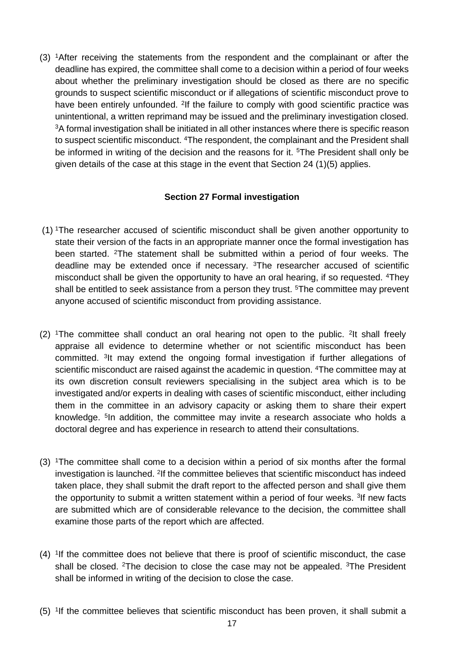(3) <sup>1</sup>After receiving the statements from the respondent and the complainant or after the deadline has expired, the committee shall come to a decision within a period of four weeks about whether the preliminary investigation should be closed as there are no specific grounds to suspect scientific misconduct or if allegations of scientific misconduct prove to have been entirely unfounded. <sup>2</sup>If the failure to comply with good scientific practice was unintentional, a written reprimand may be issued and the preliminary investigation closed. <sup>3</sup>A formal investigation shall be initiated in all other instances where there is specific reason to suspect scientific misconduct. <sup>4</sup>The respondent, the complainant and the President shall be informed in writing of the decision and the reasons for it. <sup>5</sup>The President shall only be given details of the case at this stage in the event that Section 24 (1)(5) applies.

## **Section 27 Formal investigation**

- <span id="page-16-0"></span>(1) <sup>1</sup>The researcher accused of scientific misconduct shall be given another opportunity to state their version of the facts in an appropriate manner once the formal investigation has been started. <sup>2</sup>The statement shall be submitted within a period of four weeks. The deadline may be extended once if necessary. <sup>3</sup>The researcher accused of scientific misconduct shall be given the opportunity to have an oral hearing, if so requested. <sup>4</sup>They shall be entitled to seek assistance from a person they trust. <sup>5</sup>The committee may prevent anyone accused of scientific misconduct from providing assistance.
- (2) <sup>1</sup>The committee shall conduct an oral hearing not open to the public. <sup>2</sup>It shall freely appraise all evidence to determine whether or not scientific misconduct has been committed. <sup>3</sup> It may extend the ongoing formal investigation if further allegations of scientific misconduct are raised against the academic in question. <sup>4</sup>The committee may at its own discretion consult reviewers specialising in the subject area which is to be investigated and/or experts in dealing with cases of scientific misconduct, either including them in the committee in an advisory capacity or asking them to share their expert knowledge. <sup>5</sup> In addition, the committee may invite a research associate who holds a doctoral degree and has experience in research to attend their consultations.
- (3) <sup>1</sup>The committee shall come to a decision within a period of six months after the formal investigation is launched. <sup>2</sup>If the committee believes that scientific misconduct has indeed taken place, they shall submit the draft report to the affected person and shall give them the opportunity to submit a written statement within a period of four weeks. <sup>3</sup>If new facts are submitted which are of considerable relevance to the decision, the committee shall examine those parts of the report which are affected.
- $(4)$  <sup>1</sup>If the committee does not believe that there is proof of scientific misconduct, the case shall be closed. <sup>2</sup>The decision to close the case may not be appealed. <sup>3</sup>The President shall be informed in writing of the decision to close the case.
- (5) <sup>1</sup>If the committee believes that scientific misconduct has been proven, it shall submit a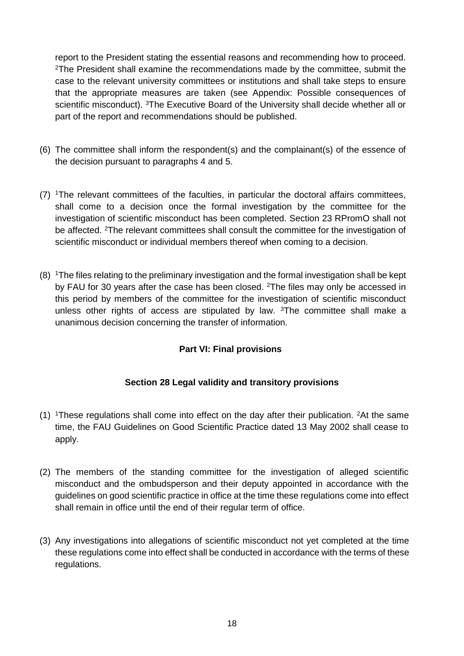report to the President stating the essential reasons and recommending how to proceed. <sup>2</sup>The President shall examine the recommendations made by the committee, submit the case to the relevant university committees or institutions and shall take steps to ensure that the appropriate measures are taken (see Appendix: Possible consequences of scientific misconduct). <sup>3</sup>The Executive Board of the University shall decide whether all or part of the report and recommendations should be published.

- (6) The committee shall inform the respondent(s) and the complainant(s) of the essence of the decision pursuant to paragraphs 4 and 5.
- (7) <sup>1</sup>The relevant committees of the faculties, in particular the doctoral affairs committees, shall come to a decision once the formal investigation by the committee for the investigation of scientific misconduct has been completed. Section 23 RPromO shall not be affected. <sup>2</sup>The relevant committees shall consult the committee for the investigation of scientific misconduct or individual members thereof when coming to a decision.
- (8) <sup>1</sup>The files relating to the preliminary investigation and the formal investigation shall be kept by FAU for 30 years after the case has been closed. <sup>2</sup>The files may only be accessed in this period by members of the committee for the investigation of scientific misconduct unless other rights of access are stipulated by law. <sup>3</sup>The committee shall make a unanimous decision concerning the transfer of information.

## **Part VI: Final provisions**

## **Section 28 Legal validity and transitory provisions**

- <span id="page-17-1"></span><span id="page-17-0"></span> $(1)$  <sup>1</sup>These regulations shall come into effect on the day after their publication. <sup>2</sup>At the same time, the FAU Guidelines on Good Scientific Practice dated 13 May 2002 shall cease to apply.
- (2) The members of the standing committee for the investigation of alleged scientific misconduct and the ombudsperson and their deputy appointed in accordance with the guidelines on good scientific practice in office at the time these regulations come into effect shall remain in office until the end of their regular term of office.
- <span id="page-17-2"></span>(3) Any investigations into allegations of scientific misconduct not yet completed at the time these regulations come into effect shall be conducted in accordance with the terms of these regulations.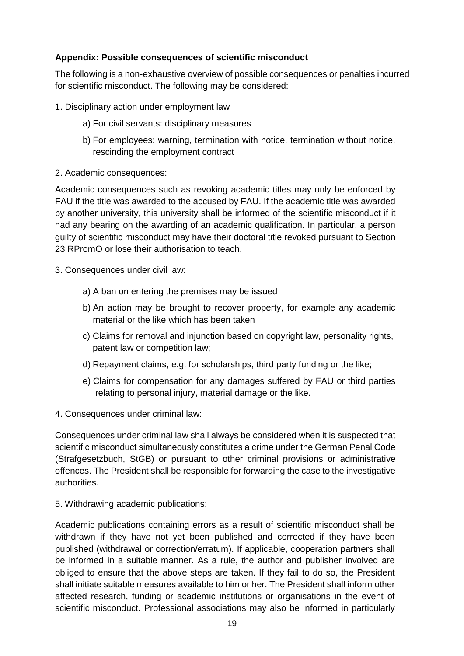## **Appendix: Possible consequences of scientific misconduct**

The following is a non-exhaustive overview of possible consequences or penalties incurred for scientific misconduct. The following may be considered:

- 1. Disciplinary action under employment law
	- a) For civil servants: disciplinary measures
	- b) For employees: warning, termination with notice, termination without notice, rescinding the employment contract
- 2. Academic consequences:

Academic consequences such as revoking academic titles may only be enforced by FAU if the title was awarded to the accused by FAU. If the academic title was awarded by another university, this university shall be informed of the scientific misconduct if it had any bearing on the awarding of an academic qualification. In particular, a person guilty of scientific misconduct may have their doctoral title revoked pursuant to Section 23 RPromO or lose their authorisation to teach.

- 3. Consequences under civil law:
	- a) A ban on entering the premises may be issued
	- b) An action may be brought to recover property, for example any academic material or the like which has been taken
	- c) Claims for removal and injunction based on copyright law, personality rights, patent law or competition law;
	- d) Repayment claims, e.g. for scholarships, third party funding or the like;
	- e) Claims for compensation for any damages suffered by FAU or third parties relating to personal injury, material damage or the like.
- 4. Consequences under criminal law:

Consequences under criminal law shall always be considered when it is suspected that scientific misconduct simultaneously constitutes a crime under the German Penal Code (Strafgesetzbuch, StGB) or pursuant to other criminal provisions or administrative offences. The President shall be responsible for forwarding the case to the investigative authorities.

5. Withdrawing academic publications:

Academic publications containing errors as a result of scientific misconduct shall be withdrawn if they have not yet been published and corrected if they have been published (withdrawal or correction/erratum). If applicable, cooperation partners shall be informed in a suitable manner. As a rule, the author and publisher involved are obliged to ensure that the above steps are taken. If they fail to do so, the President shall initiate suitable measures available to him or her. The President shall inform other affected research, funding or academic institutions or organisations in the event of scientific misconduct. Professional associations may also be informed in particularly